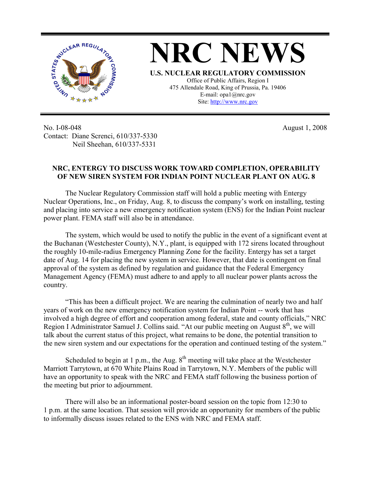

No. I-08-048 Contact: Diane Screnci, 610/337-5330 Neil Sheehan, 610/337-5331

August 1, 2008

## **NRC, ENTERGY TO DISCUSS WORK TOWARD COMPLETION, OPERABILITY OF NEW SIREN SYSTEM FOR INDIAN POINT NUCLEAR PLANT ON AUG. 8**

The Nuclear Regulatory Commission staff will hold a public meeting with Entergy Nuclear Operations, Inc., on Friday, Aug. 8, to discuss the company's work on installing, testing and placing into service a new emergency notification system (ENS) for the Indian Point nuclear power plant. FEMA staff will also be in attendance.

The system, which would be used to notify the public in the event of a significant event at the Buchanan (Westchester County), N.Y., plant, is equipped with 172 sirens located throughout the roughly 10-mile-radius Emergency Planning Zone for the facility. Entergy has set a target date of Aug. 14 for placing the new system in service. However, that date is contingent on final approval of the system as defined by regulation and guidance that the Federal Emergency Management Agency (FEMA) must adhere to and apply to all nuclear power plants across the country.

"This has been a difficult project. We are nearing the culmination of nearly two and half years of work on the new emergency notification system for Indian Point -- work that has involved a high degree of effort and cooperation among federal, state and county officials," NRC Region I Administrator Samuel J. Collins said. "At our public meeting on August  $8<sup>th</sup>$ , we will talk about the current status of this project, what remains to be done, the potential transition to the new siren system and our expectations for the operation and continued testing of the system."

Scheduled to begin at 1 p.m., the Aug.  $8<sup>th</sup>$  meeting will take place at the Westchester Marriott Tarrytown, at 670 White Plains Road in Tarrytown, N.Y. Members of the public will have an opportunity to speak with the NRC and FEMA staff following the business portion of the meeting but prior to adjournment.

There will also be an informational poster-board session on the topic from 12:30 to 1 p.m. at the same location. That session will provide an opportunity for members of the public to informally discuss issues related to the ENS with NRC and FEMA staff.